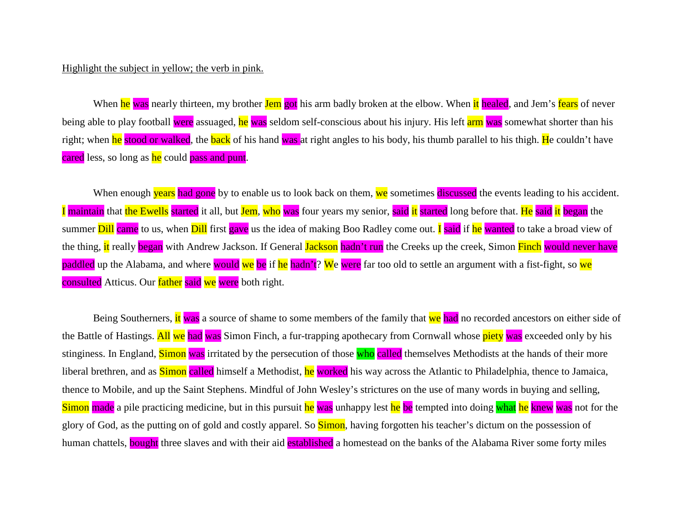## Highlight the subject in yellow; the verb in pink.

When he was nearly thirteen, my brother Jem got his arm badly broken at the elbow. When it healed, and Jem's fears of never being able to play football were assuaged, he was seldom self-conscious about his injury. His left arm was somewhat shorter than his right; when he stood or walked, the back of his hand was at right angles to his body, his thumb parallel to his thigh. He couldn't have cared less, so long as he could pass and punt.

When enough years had gone by to enable us to look back on them, we sometimes discussed the events leading to his accident. I maintain that the Ewells started it all, but Jem, who was four years my senior, said it started long before that. He said it began the summer Dill came to us, when Dill first gave us the idea of making Boo Radley come out. I said if he wanted to take a broad view of the thing, it really began with Andrew Jackson. If General Jackson hadn't run the Creeks up the creek, Simon Finch would never have paddled up the Alabama, and where would we be if he hadn't? We were far too old to settle an argument with a fist-fight, so we consulted Atticus. Our father said we were both right.

Being Southerners, it was a source of shame to some members of the family that we had no recorded ancestors on either side of the Battle of Hastings. All we had was Simon Finch, a fur-trapping apothecary from Cornwall whose piety was exceeded only by his stinginess. In England, Simon was irritated by the persecution of those who called themselves Methodists at the hands of their more liberal brethren, and as **Simon** called himself a Methodist, he worked his way across the Atlantic to Philadelphia, thence to Jamaica, thence to Mobile, and up the Saint Stephens. Mindful of John Wesley's strictures on the use of many words in buying and selling, Simon made a pile practicing medicine, but in this pursuit he was unhappy lest he be tempted into doing what he knew was not for the glory of God, as the putting on of gold and costly apparel. So **Simon**, having forgotten his teacher's dictum on the possession of human chattels, **bought** three slaves and with their aid **established** a homestead on the banks of the Alabama River some forty miles